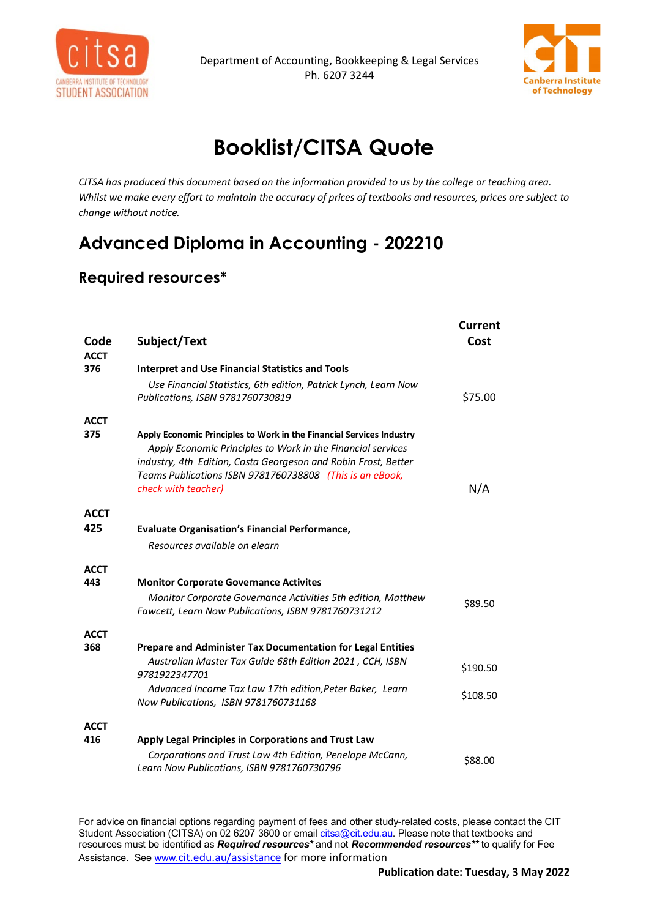



## **Booklist/CITSA Quote**

*CITSA has produced this document based on the information provided to us by the college or teaching area. Whilst we make every effort to maintain the accuracy of prices of textbooks and resources, prices are subject to change without notice.*

## **Advanced Diploma in Accounting - 202210**

## **Required resources\***

| Code<br><b>ACCT</b> | Subject/Text                                                                                                                                                                                                                                                                             | Current<br>Cost |
|---------------------|------------------------------------------------------------------------------------------------------------------------------------------------------------------------------------------------------------------------------------------------------------------------------------------|-----------------|
| 376                 | <b>Interpret and Use Financial Statistics and Tools</b>                                                                                                                                                                                                                                  |                 |
|                     | Use Financial Statistics, 6th edition, Patrick Lynch, Learn Now                                                                                                                                                                                                                          |                 |
|                     | Publications, ISBN 9781760730819                                                                                                                                                                                                                                                         | \$75.00         |
| <b>ACCT</b>         |                                                                                                                                                                                                                                                                                          |                 |
| 375                 | Apply Economic Principles to Work in the Financial Services Industry<br>Apply Economic Principles to Work in the Financial services<br>industry, 4th Edition, Costa Georgeson and Robin Frost, Better<br>Teams Publications ISBN 9781760738808 (This is an eBook,<br>check with teacher) | N/A             |
| <b>ACCT</b>         |                                                                                                                                                                                                                                                                                          |                 |
| 425                 | <b>Evaluate Organisation's Financial Performance,</b>                                                                                                                                                                                                                                    |                 |
|                     | Resources available on elearn                                                                                                                                                                                                                                                            |                 |
| <b>ACCT</b>         |                                                                                                                                                                                                                                                                                          |                 |
| 443                 | <b>Monitor Corporate Governance Activites</b>                                                                                                                                                                                                                                            |                 |
|                     | Monitor Corporate Governance Activities 5th edition, Matthew                                                                                                                                                                                                                             | \$89.50         |
|                     | Fawcett, Learn Now Publications, ISBN 9781760731212                                                                                                                                                                                                                                      |                 |
| <b>ACCT</b>         |                                                                                                                                                                                                                                                                                          |                 |
| 368                 | Prepare and Administer Tax Documentation for Legal Entities                                                                                                                                                                                                                              |                 |
|                     | Australian Master Tax Guide 68th Edition 2021, CCH, ISBN<br>9781922347701                                                                                                                                                                                                                | \$190.50        |
|                     | Advanced Income Tax Law 17th edition, Peter Baker, Learn                                                                                                                                                                                                                                 | \$108.50        |
|                     | Now Publications, ISBN 9781760731168                                                                                                                                                                                                                                                     |                 |
| <b>ACCT</b>         |                                                                                                                                                                                                                                                                                          |                 |
| 416                 | Apply Legal Principles in Corporations and Trust Law                                                                                                                                                                                                                                     |                 |
|                     | Corporations and Trust Law 4th Edition, Penelope McCann,<br>Learn Now Publications, ISBN 9781760730796                                                                                                                                                                                   | \$88.00         |

For advice on financial options regarding payment of fees and other study-related costs, please contact the CIT Student Association (CITSA) on 02 6207 3600 or email <u>citsa@cit.edu.au</u>. Please note that textbooks and resources must be identified as *Required resources\** and not *Recommended resources\*\** to qualify for Fee Assistance. Se[e www.](http://www.cit.edu.au/assistance)[cit.edu.au/assistance](http://www.cit.edu.au/assistance) for more information